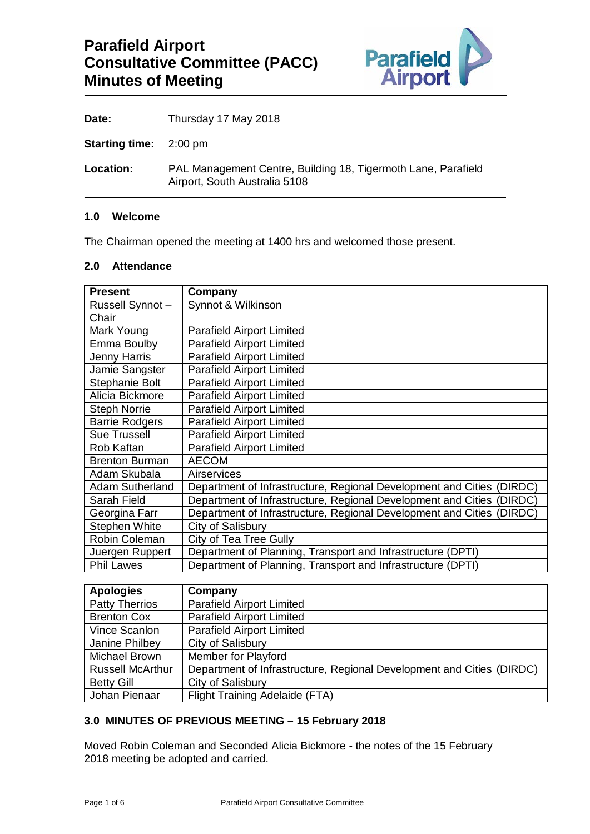

Date: Thursday 17 May 2018

**Starting time:** 2:00 pm

**Location:** PAL Management Centre, Building 18, Tigermoth Lane, Parafield Airport, South Australia 5108

#### **1.0 Welcome**

The Chairman opened the meeting at 1400 hrs and welcomed those present.

### **2.0 Attendance**

| <b>Present</b>         | Company                                                                  |
|------------------------|--------------------------------------------------------------------------|
| Russell Synnot-        | Synnot & Wilkinson                                                       |
| Chair                  |                                                                          |
| Mark Young             | <b>Parafield Airport Limited</b>                                         |
| Emma Boulby            | <b>Parafield Airport Limited</b>                                         |
| Jenny Harris           | <b>Parafield Airport Limited</b>                                         |
| Jamie Sangster         | <b>Parafield Airport Limited</b>                                         |
| Stephanie Bolt         | <b>Parafield Airport Limited</b>                                         |
| Alicia Bickmore        | <b>Parafield Airport Limited</b>                                         |
| <b>Steph Norrie</b>    | <b>Parafield Airport Limited</b>                                         |
| <b>Barrie Rodgers</b>  | <b>Parafield Airport Limited</b>                                         |
| <b>Sue Trussell</b>    | <b>Parafield Airport Limited</b>                                         |
| Rob Kaftan             | <b>Parafield Airport Limited</b>                                         |
| <b>Brenton Burman</b>  | <b>AECOM</b>                                                             |
| Adam Skubala           | Airservices                                                              |
| <b>Adam Sutherland</b> | Department of Infrastructure, Regional Development and Cities<br>(DIRDC) |
| Sarah Field            | Department of Infrastructure, Regional Development and Cities<br>(DIRDC) |
| Georgina Farr          | Department of Infrastructure, Regional Development and Cities<br>(DIRDC) |
| <b>Stephen White</b>   | City of Salisbury                                                        |
| Robin Coleman          | City of Tea Tree Gully                                                   |
| Juergen Ruppert        | Department of Planning, Transport and Infrastructure (DPTI)              |
| <b>Phil Lawes</b>      | Department of Planning, Transport and Infrastructure (DPTI)              |
|                        |                                                                          |
| <b>Apologies</b>       | Company                                                                  |
| <b>Patty Therrios</b>  | <b>Parafield Airport Limited</b>                                         |
| <b>Brenton Cox</b>     | <b>Parafield Airport Limited</b>                                         |

| <b>Patty Therrios</b>   | Parafield Airport Limited                                             |
|-------------------------|-----------------------------------------------------------------------|
| <b>Brenton Cox</b>      | <b>Parafield Airport Limited</b>                                      |
| Vince Scanlon           | <b>Parafield Airport Limited</b>                                      |
| Janine Philbey          | City of Salisbury                                                     |
| Michael Brown           | Member for Playford                                                   |
| <b>Russell McArthur</b> | Department of Infrastructure, Regional Development and Cities (DIRDC) |
| <b>Betty Gill</b>       | City of Salisbury                                                     |
| Johan Pienaar           | Flight Training Adelaide (FTA)                                        |

### **3.0 MINUTES OF PREVIOUS MEETING – 15 February 2018**

Moved Robin Coleman and Seconded Alicia Bickmore - the notes of the 15 February 2018 meeting be adopted and carried.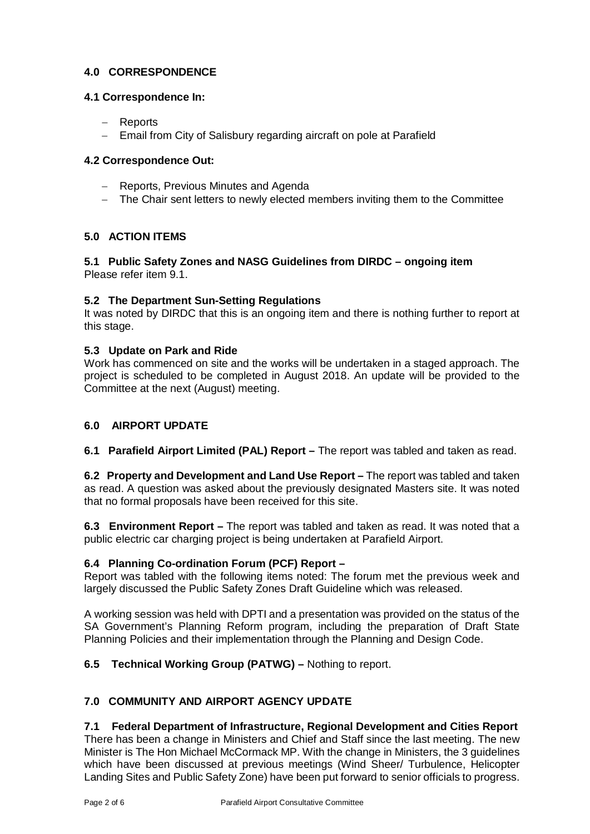# **4.0 CORRESPONDENCE**

## **4.1 Correspondence In:**

- − Reports
- − Email from City of Salisbury regarding aircraft on pole at Parafield

## **4.2 Correspondence Out:**

- − Reports, Previous Minutes and Agenda
- − The Chair sent letters to newly elected members inviting them to the Committee

# **5.0 ACTION ITEMS**

### **5.1 Public Safety Zones and NASG Guidelines from DIRDC – ongoing item** Please refer item 9.1.

## **5.2 The Department Sun-Setting Regulations**

It was noted by DIRDC that this is an ongoing item and there is nothing further to report at this stage.

### **5.3 Update on Park and Ride**

Work has commenced on site and the works will be undertaken in a staged approach. The project is scheduled to be completed in August 2018. An update will be provided to the Committee at the next (August) meeting.

## **6.0 AIRPORT UPDATE**

**6.1 Parafield Airport Limited (PAL) Report –** The report was tabled and taken as read.

**6.2 Property and Development and Land Use Report –** The report was tabled and taken as read. A question was asked about the previously designated Masters site. It was noted that no formal proposals have been received for this site.

**6.3 Environment Report –** The report was tabled and taken as read. It was noted that a public electric car charging project is being undertaken at Parafield Airport.

### **6.4 Planning Co-ordination Forum (PCF) Report –**

Report was tabled with the following items noted: The forum met the previous week and largely discussed the Public Safety Zones Draft Guideline which was released.

A working session was held with DPTI and a presentation was provided on the status of the SA Government's Planning Reform program, including the preparation of Draft State Planning Policies and their implementation through the Planning and Design Code.

### **6.5 Technical Working Group (PATWG) –** Nothing to report.

## **7.0 COMMUNITY AND AIRPORT AGENCY UPDATE**

## **7.1 Federal Department of Infrastructure, Regional Development and Cities Report**

There has been a change in Ministers and Chief and Staff since the last meeting. The new Minister is The Hon Michael McCormack MP. With the change in Ministers, the 3 guidelines which have been discussed at previous meetings (Wind Sheer/ Turbulence, Helicopter Landing Sites and Public Safety Zone) have been put forward to senior officials to progress.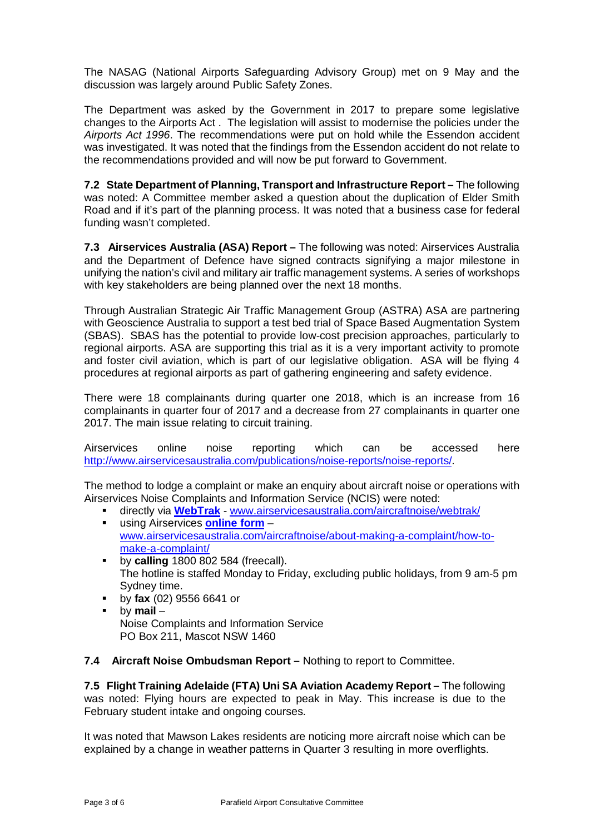The NASAG (National Airports Safeguarding Advisory Group) met on 9 May and the discussion was largely around Public Safety Zones.

The Department was asked by the Government in 2017 to prepare some legislative changes to the Airports Act . The legislation will assist to modernise the policies under the *Airports Act 1996*. The recommendations were put on hold while the Essendon accident was investigated. It was noted that the findings from the Essendon accident do not relate to the recommendations provided and will now be put forward to Government.

**7.2 State Department of Planning, Transport and Infrastructure Report –** The following was noted: A Committee member asked a question about the duplication of Elder Smith Road and if it's part of the planning process. It was noted that a business case for federal funding wasn't completed.

**7.3 Airservices Australia (ASA) Report –** The following was noted: Airservices Australia and the Department of Defence have signed contracts signifying a major milestone in unifying the nation's civil and military air traffic management systems. A series of workshops with key stakeholders are being planned over the next 18 months.

Through Australian Strategic Air Traffic Management Group (ASTRA) ASA are partnering with Geoscience Australia to support a test bed trial of Space Based Augmentation System (SBAS). SBAS has the potential to provide low-cost precision approaches, particularly to regional airports. ASA are supporting this trial as it is a very important activity to promote and foster civil aviation, which is part of our legislative obligation. ASA will be flying 4 procedures at regional airports as part of gathering engineering and safety evidence.

There were 18 complainants during quarter one 2018, which is an increase from 16 complainants in quarter four of 2017 and a decrease from 27 complainants in quarter one 2017. The main issue relating to circuit training.

Airservices online noise reporting which can be accessed here [http://www.airservicesaustralia.com/publications/noise-reports/noise-reports/.](http://www.airservicesaustralia.com/publications/noise-reports/noise-reports/)

The method to lodge a complaint or make an enquiry about aircraft noise or operations with Airservices Noise Complaints and Information Service (NCIS) were noted:

- directly via **[WebTrak](http://www.airservicesaustralia.com/aircraftnoise/webtrak/)** [www.airservicesaustralia.com/aircraftnoise/webtrak/](http://www.airservicesaustralia.com/aircraftnoise/webtrak/)
- using Airservices **[online form](https://complaints.bksv.com/asa)** [www.airservicesaustralia.com/aircraftnoise/about-making-a-complaint/how-to](http://www.airservicesaustralia.com/aircraftnoise/about-making-a-complaint/how-to-make-a-complaint/)[make-a-complaint/](http://www.airservicesaustralia.com/aircraftnoise/about-making-a-complaint/how-to-make-a-complaint/)
- **by calling** 1800 802 584 (freecall). The hotline is staffed Monday to Friday, excluding public holidays, from 9 am-5 pm Sydney time.
- by **fax** (02) 9556 6641 or
- by **mail** Noise Complaints and Information Service PO Box 211, Mascot NSW 1460

**7.4 Aircraft Noise Ombudsman Report –** Nothing to report to Committee.

**7.5 Flight Training Adelaide (FTA) Uni SA Aviation Academy Report –** The following was noted: Flying hours are expected to peak in May. This increase is due to the February student intake and ongoing courses.

It was noted that Mawson Lakes residents are noticing more aircraft noise which can be explained by a change in weather patterns in Quarter 3 resulting in more overflights.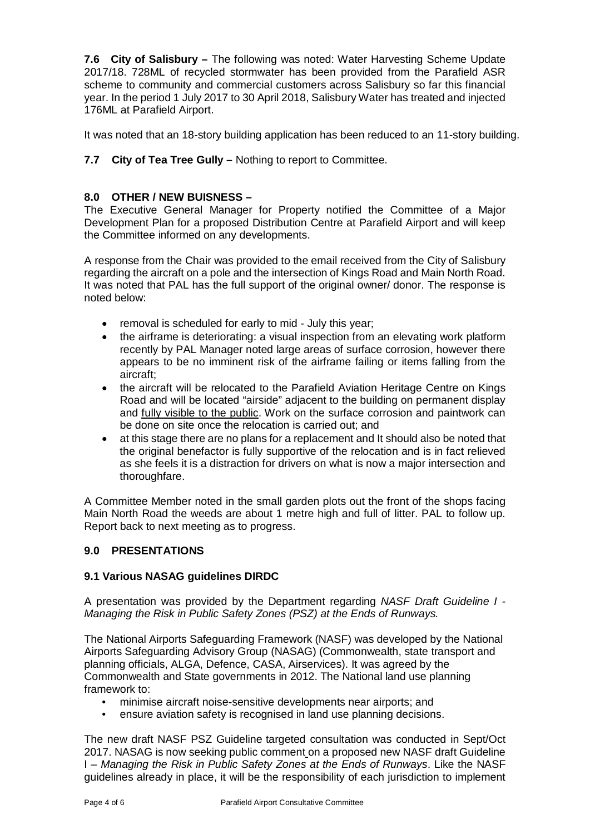**7.6 City of Salisbury –** The following was noted: Water Harvesting Scheme Update 2017/18. 728ML of recycled stormwater has been provided from the Parafield ASR scheme to community and commercial customers across Salisbury so far this financial year. In the period 1 July 2017 to 30 April 2018, Salisbury Water has treated and injected 176ML at Parafield Airport.

It was noted that an 18-story building application has been reduced to an 11-story building.

**7.7 City of Tea Tree Gully –** Nothing to report to Committee.

## **8.0 OTHER / NEW BUISNESS –**

The Executive General Manager for Property notified the Committee of a Major Development Plan for a proposed Distribution Centre at Parafield Airport and will keep the Committee informed on any developments.

A response from the Chair was provided to the email received from the City of Salisbury regarding the aircraft on a pole and the intersection of Kings Road and Main North Road. It was noted that PAL has the full support of the original owner/ donor. The response is noted below:

- removal is scheduled for early to mid July this year;
- the airframe is deteriorating: a visual inspection from an elevating work platform recently by PAL Manager noted large areas of surface corrosion, however there appears to be no imminent risk of the airframe failing or items falling from the aircraft;
- the aircraft will be relocated to the Parafield Aviation Heritage Centre on Kings Road and will be located "airside" adjacent to the building on permanent display and fully visible to the public. Work on the surface corrosion and paintwork can be done on site once the relocation is carried out; and
- at this stage there are no plans for a replacement and It should also be noted that the original benefactor is fully supportive of the relocation and is in fact relieved as she feels it is a distraction for drivers on what is now a major intersection and thoroughfare.

A Committee Member noted in the small garden plots out the front of the shops facing Main North Road the weeds are about 1 metre high and full of litter. PAL to follow up. Report back to next meeting as to progress.

### **9.0 PRESENTATIONS**

### **9.1 Various NASAG guidelines DIRDC**

A presentation was provided by the Department regarding *NASF Draft Guideline I - Managing the Risk in Public Safety Zones (PSZ) at the Ends of Runways.* 

The National Airports Safeguarding Framework (NASF) was developed by the National Airports Safeguarding Advisory Group (NASAG) (Commonwealth, state transport and planning officials, ALGA, Defence, CASA, Airservices). It was agreed by the Commonwealth and State governments in 2012. The National land use planning framework to:

- minimise aircraft noise-sensitive developments near airports; and
- ensure aviation safety is recognised in land use planning decisions.

The new draft NASF PSZ Guideline targeted consultation was conducted in Sept/Oct 2017. NASAG is now seeking public comment on a proposed new NASF draft Guideline I – *Managing the Risk in Public Safety Zones at the Ends of Runways*. Like the NASF guidelines already in place, it will be the responsibility of each jurisdiction to implement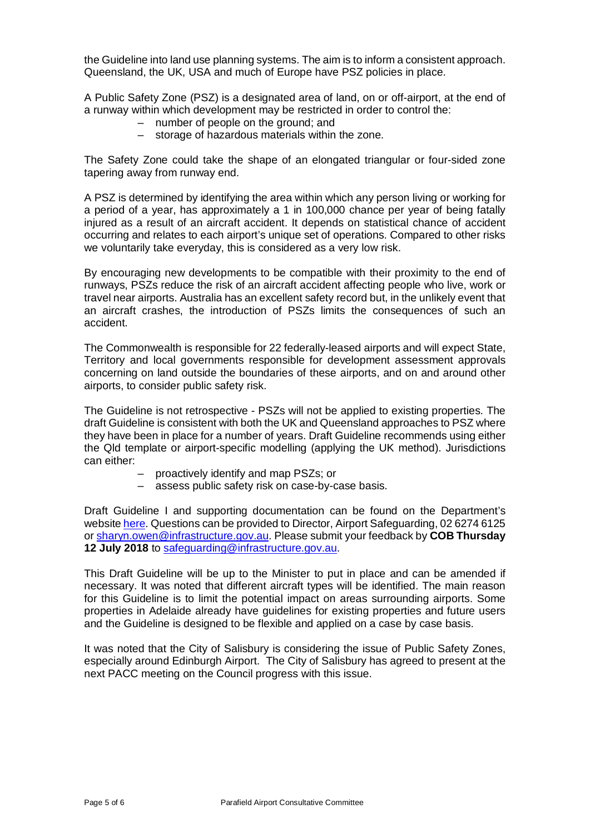the Guideline into land use planning systems. The aim is to inform a consistent approach. Queensland, the UK, USA and much of Europe have PSZ policies in place.

A Public Safety Zone (PSZ) is a designated area of land, on or off-airport, at the end of a runway within which development may be restricted in order to control the:

- number of people on the ground; and
- storage of hazardous materials within the zone.

The Safety Zone could take the shape of an elongated triangular or four-sided zone tapering away from runway end.

A PSZ is determined by identifying the area within which any person living or working for a period of a year, has approximately a 1 in 100,000 chance per year of being fatally injured as a result of an aircraft accident. It depends on statistical chance of accident occurring and relates to each airport's unique set of operations. Compared to other risks we voluntarily take everyday, this is considered as a very low risk.

By encouraging new developments to be compatible with their proximity to the end of runways, PSZs reduce the risk of an aircraft accident affecting people who live, work or travel near airports. Australia has an excellent safety record but, in the unlikely event that an aircraft crashes, the introduction of PSZs limits the consequences of such an accident.

The Commonwealth is responsible for 22 federally-leased airports and will expect State, Territory and local governments responsible for development assessment approvals concerning on land outside the boundaries of these airports, and on and around other airports, to consider public safety risk.

The Guideline is not retrospective - PSZs will not be applied to existing properties. The draft Guideline is consistent with both the UK and Queensland approaches to PSZ where they have been in place for a number of years. Draft Guideline recommends using either the Qld template or airport-specific modelling (applying the UK method). Jurisdictions can either:

- proactively identify and map PSZs; or
- assess public safety risk on case-by-case basis.

Draft Guideline I and supporting documentation can be found on the Department's websit[e here.](https://infrastructure.gov.au/aviation/environmental/airport_safeguarding/nasf/public_consultation_nasf.aspx) Questions can be provided to Director, Airport Safeguarding, 02 6274 6125 or [sharyn.owen@infrastructure.gov.au.](mailto:sharyn.owen@infrastructure.gov.au) Please submit your feedback by **COB Thursday 12 July 2018** to [safeguarding@infrastructure.gov.au.](mailto:safeguarding@infrastructure.gov.au)

This Draft Guideline will be up to the Minister to put in place and can be amended if necessary. It was noted that different aircraft types will be identified. The main reason for this Guideline is to limit the potential impact on areas surrounding airports. Some properties in Adelaide already have guidelines for existing properties and future users and the Guideline is designed to be flexible and applied on a case by case basis.

It was noted that the City of Salisbury is considering the issue of Public Safety Zones, especially around Edinburgh Airport. The City of Salisbury has agreed to present at the next PACC meeting on the Council progress with this issue.